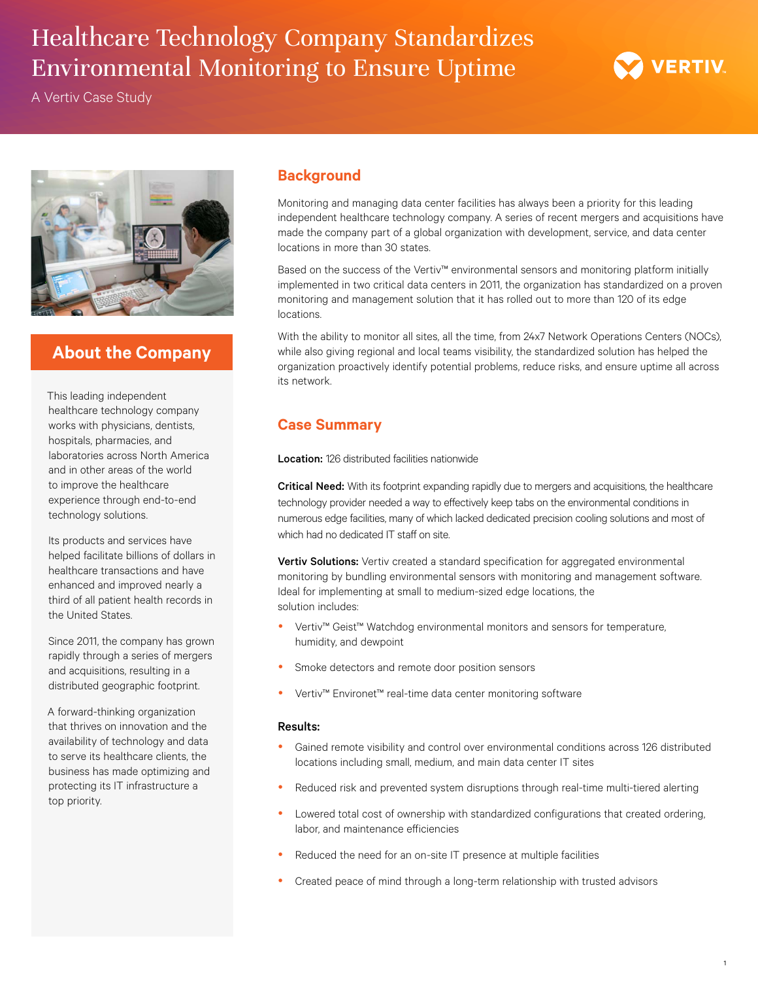# Healthcare Technology Company Standardizes Environmental Monitoring to Ensure Uptime

A Vertiv Case Study



## **About the Company**

This leading independent healthcare technology company works with physicians, dentists, hospitals, pharmacies, and laboratories across North America and in other areas of the world to improve the healthcare experience through end-to-end technology solutions.

Its products and services have helped facilitate billions of dollars in healthcare transactions and have enhanced and improved nearly a third of all patient health records in the United States.

Since 2011, the company has grown rapidly through a series of mergers and acquisitions, resulting in a distributed geographic footprint.

A forward-thinking organization that thrives on innovation and the availability of technology and data to serve its healthcare clients, the business has made optimizing and protecting its IT infrastructure a top priority.

## **Background**

Monitoring and managing data center facilities has always been a priority for this leading independent healthcare technology company. A series of recent mergers and acquisitions have made the company part of a global organization with development, service, and data center locations in more than 30 states.

Based on the success of the Vertiv™ environmental sensors and monitoring platform initially implemented in two critical data centers in 2011, the organization has standardized on a proven monitoring and management solution that it has rolled out to more than 120 of its edge locations.

With the ability to monitor all sites, all the time, from 24x7 Network Operations Centers (NOCs), while also giving regional and local teams visibility, the standardized solution has helped the organization proactively identify potential problems, reduce risks, and ensure uptime all across its network.

## **Case Summary**

Location: 126 distributed facilities nationwide

Critical Need: With its footprint expanding rapidly due to mergers and acquisitions, the healthcare technology provider needed a way to effectively keep tabs on the environmental conditions in numerous edge facilities, many of which lacked dedicated precision cooling solutions and most of which had no dedicated IT staff on site.

**Vertiv Solutions:** Vertiv created a standard specification for aggregated environmental monitoring by bundling environmental sensors with monitoring and management software. Ideal for implementing at small to medium-sized edge locations, the solution includes:

- Vertiv™ Geist™ Watchdog environmental monitors and sensors for temperature, humidity, and dewpoint
- Smoke detectors and remote door position sensors
- Vertiv™ Environet™ real-time data center monitoring software

### Results:

- Gained remote visibility and control over environmental conditions across 126 distributed locations including small, medium, and main data center IT sites
- Reduced risk and prevented system disruptions through real-time multi-tiered alerting
- Lowered total cost of ownership with standardized configurations that created ordering, labor, and maintenance efficiencies
- Reduced the need for an on-site IT presence at multiple facilities
- Created peace of mind through a long-term relationship with trusted advisors

**VERTIV** 

1